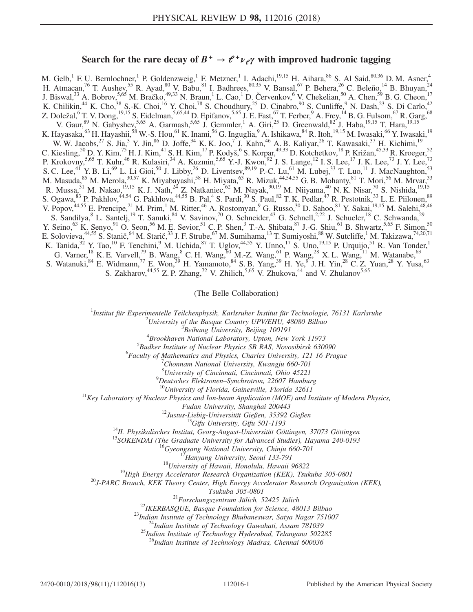# Search for the rare decay of  $B^+ \rightarrow e^+ \nu_e \gamma$  with improved hadronic tagging

M. Gelb,<sup>1</sup> F. U. Bernlochner,<sup>1</sup> P. Goldenzweig,<sup>1</sup> F. Metzner,<sup>1</sup> I. Adachi,<sup>19,15</sup> H. Aihara,<sup>86</sup> S. Al Said,<sup>80,36</sup> D. M. Asner,<sup>4</sup> H. Atmacan,<sup>76</sup> T. Aushev,<sup>55</sup> R. Ayad,<sup>80</sup> V. Babu,<sup>81</sup> I. Badhrees,  $80,35$  V. Bansal,<sup>67</sup> P. Behera,  $26$  C. Beleño,  $14$  B. Bhuyan,  $24$ J. Biswal,<sup>33</sup> A. Bobrov,<sup>5,65</sup> M. Bračko,<sup>49,33</sup> N. Braun,<sup>1</sup> L. Cao,<sup>1</sup> D. Červenkov,<sup>6</sup> V. Chekelian,<sup>50</sup> A. Chen,<sup>59</sup> B. G. Cheon,<sup>17</sup> K. Chilikin,<sup>44</sup> K. Cho,<sup>38</sup> S.-K. Choi,<sup>16</sup> Y. Choi,<sup>78</sup> S. Choudhury,<sup>25</sup> D. Cinabro,<sup>90</sup> S. Cunliffe,<sup>9</sup> N. Dash,<sup>23</sup> S. Di Carlo,<sup>42</sup> Z. Doležal, $^6$  T. V. Dong, $^{19,15}$  S. Eidelman, $^{5,65,44}$  D. Epifanov, $^{5,65}$  J. E. Fast, $^{67}$  T. Ferber, $^9$  A. Frey, $^{14}$  B. G. Fulsom, $^{67}$  R. Garg, $^{68}$ V. Gaur, <sup>89</sup> N. Gabyshev, 5,65 A. Garmash, 5,65 J. Gemmler, <sup>1</sup> A. Giri, <sup>25</sup> D. Greenwald, <sup>82</sup> J. Haba, <sup>19,15</sup> T. Hara, <sup>19,15</sup> K. Hayasaka,<sup>63</sup> H. Hayashii,<sup>58</sup> W.-S. Hou,<sup>61</sup> K. Inami,<sup>56</sup> G. Inguglia,<sup>9</sup> A. Ishikawa,<sup>84</sup> R. Itoh,<sup>19,15</sup> M. Iwasaki,<sup>66</sup> Y. Iwasaki,<sup>19</sup> W. W. Jacobs,  $27 \text{ S}$ . Jia,  $3 \text{ Y}$ . Jin,  $86 \text{ D}$ . Joffe,  $34 \text{ K}$ . K. Joo,  $7$  J. Kahn,  $46 \text{ A}$ . B. Kaliyar,  $26 \text{ T}$ . Kawasaki,  $37 \text{ H}$ . Kichimi,  $19$ C. Kiesling,  ${}^{50}$  D. Y. Kim,  ${}^{75}$  H. J. Kim,  ${}^{41}$  S. H. Kim,  ${}^{17}$  P. Kodyš,  ${}^{6}$  S. Korpar,  ${}^{49,33}$  D. Kotchetkov,  ${}^{18}$  P. Križan,  ${}^{45,33}$  R. Kroeger,  ${}^{52}$ P. Krokovny,<sup>5,65</sup> T. Kuhr,<sup>46</sup> R. Kulasiri,<sup>34</sup> A. Kuzmin,<sup>5,65</sup> Y.-J. Kwon,<sup>92</sup> J. S. Lange,<sup>12</sup> I. S. Lee,<sup>17</sup> J. K. Lee,<sup>73</sup> J. Y. Lee,<sup>73</sup> S. C. Lee,<sup>41</sup> Y. B. Li,<sup>69</sup> L. Li Gioi,<sup>50</sup> J. Libby,<sup>26</sup> D. Liventsev,<sup>89,19</sup> P.-C. Lu,<sup>61</sup> M. Lubej,<sup>33</sup> T. Luo,<sup>11</sup> J. MacNaughton,<sup>53</sup> M. Masuda, <sup>85</sup> M. Merola, <sup>30,57</sup> K. Miyabayashi, <sup>58</sup> H. Miyata, <sup>63</sup> R. Mizuk, <sup>44,54,55</sup> G. B. Mohanty, <sup>81</sup> T. Mori, <sup>56</sup> M. Mrvar, <sup>33</sup> R. Mussa,  $^{31}$  M. Nakao,  $^{19,15}$  K. J. Nath,  $^{24}$  Z. Natkaniec,  $^{62}$  M. Nayak,  $^{90,19}$  M. Niiyama,  $^{40}$  N. K. Nisar,  $^{70}$  S. Nishida,  $^{19,15}$ S. Ogawa, <sup>83</sup> P. Pakhlov, <sup>44,54</sup> G. Pakhlova, <sup>44,55</sup> B. Pal, <sup>4</sup> S. Pardi, <sup>30</sup> S. Paul, <sup>82</sup> T. K. Pedlar, <sup>47</sup> R. Pestotnik, <sup>33</sup> L. E. Piilonen, <sup>89</sup> V. Popov,  $44,55$  E. Prencipe,  $21$  M. Prim,  $1$  M. Ritter,  $46$  A. Rostomyan,  $9$  G. Russo,  $30$  D. Sahoo,  $81$  Y. Sakai,  $19,15$  M. Salehi,  $48,46$ S. Sandilya,<sup>8</sup> L. Santelj,<sup>19</sup> T. Sanuki,<sup>84</sup> V. Savinov,<sup>70</sup> O. Schneider,<sup>43</sup> G. Schnell,<sup>2,22</sup> J. Schueler,<sup>18</sup> C. Schwanda,<sup>29</sup> Y. Seino,  $^{63}$  K. Senyo,  $^{91}$  O. Seon,  $^{56}$  M. E. Sevior,  $^{51}$  C. P. Shen,  $^{3}$  T.-A. Shibata,  $^{87}$  J.-G. Shiu,  $^{61}$  B. Shwartz,  $^{5,65}$  F. Simon,  $^{50}$ E. Solovieva, <sup>44,55</sup> S. Stanič, <sup>64</sup> M. Starič, <sup>33</sup> J. F. Strube, <sup>67</sup> M. Sumihama, <sup>13</sup> T. Sumiyoshi, <sup>88</sup> W. Sutcliffe, <sup>1</sup> M. Takizawa, <sup>74,20,71</sup> K. Tanida,<sup>32</sup> Y. Tao,<sup>10</sup> F. Tenchini,<sup>9</sup> M. Uchida,<sup>87</sup> T. Uglov,<sup>44,55</sup> Y. Unno,<sup>17</sup> S. Uno,<sup>19,15</sup> P. Urquijo,<sup>51</sup> R. Van Tonder,<sup>1</sup> G. Varner, <sup>18</sup> K. E. Varvell, <sup>79</sup> B. Wang, <sup>8</sup> C. H. Wang,  $60$  M.-Z. Wang,  $61$  P. Wang,  $28$  X. L. Wang,  $11$  M. Watanabe,  $63$ S. Watanuki,  $84$  E. Widmann,  $77$  E. Won,  $39$  H. Yamamoto,  $84$  S. B. Yang,  $39$  H. Ye,  $9$  J. H. Yin,  $28$  C. Z. Yuan,  $28$  Y. Yusa,  $63$ S. Zakharov,<sup>44,55</sup> Z. P. Zhang,<sup>72</sup> V. Zhilich,<sup>5,65</sup> V. Zhukova,<sup>44</sup> and V. Zhulanov<sup>5,65</sup>

(The Belle Collaboration)

<sup>1</sup>Institut für Experimentelle Teilchenphysik, Karlsruher Institut für Technologie, 76131 Karlsruhe

 $10^2$ University of the Basque Country UPV/EHU, 48080 Bilbao

<sup>3</sup>Beihang University, Beijing 100191

 ${}^{4}$ Brookhaven National Laboratory, Upton, New York 11973

 $<sup>5</sup>Budker Institute of Nuclear Physics SB RAS, Novosibirsk 630090$ </sup>

<sup>6</sup> Faculty of Mathematics and Physics, Charles University, 121 16 Prague

Chonnam National University, Kwangju 660-701

<sup>8</sup> University of Cincinnati, Cincinnati, Ohio 45221

<sup>9</sup>Deutsches Elektronen–Synchrotron, 22607 Hamburg<br><sup>10</sup>University of Florida, Gainesville, Florida 32611<br><sup>11</sup>Key Laboratory of Nuclear Physics and Ion-beam Application (MOE) and Institute of Modern Physics,

Fudan University, Shanghai 200443<br><sup>12</sup>Justus-Liebig-Universität Gießen, 35392 Gießen<br><sup>13</sup>Gifu University, Gifu 501-1193<br><sup>14</sup>II. Physikalisches Institut, Georg-August-Universität Göttingen, 37073 Göttingen<br><sup>15</sup>SOKENDAI (The

Tsukuba 305-0801<br><sup>21</sup>Forschungszentrum Jülich, 52425 Jülich<br><sup>22</sup>IKERBASQUE, Basque Foundation for Science, 48013 Bilbao<br><sup>23</sup>Indian Institute of Technology Bhubaneswar, Satya Nagar 751007<br><sup>24</sup>Indian Institute of Technology

 $^{26}$ Indian Institute of Technology Madras, Chennai 600036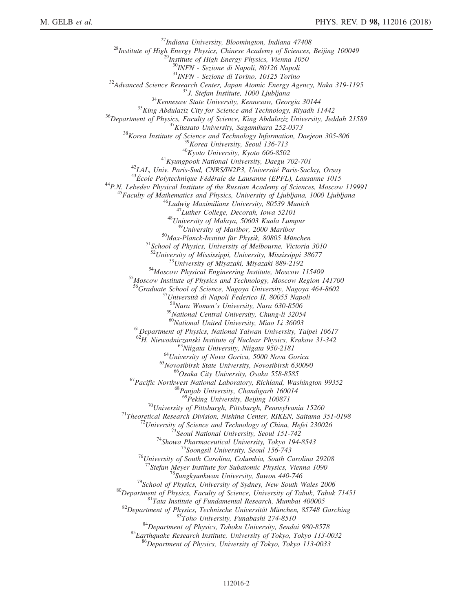<sup>27</sup>Indiana University, Bloomington, Indiana 47408<br><sup>28</sup>Institute of High Energy Physics, Chinese Academy of Sciences, Beijing 100049<sup>29</sup><br><sup>29</sup>Institute of High Energy Physics, Vienna 1050  $\frac{30}{NFW}$  - Sezione di Napoli, 80126 Napoli<br> $\frac{31}{NFW}$  - Sezione di Torino, 10125 Torino  $^{31}$ INFN - Sezione di Torino, 10125 Torino<br>  $^{32}$ Advanced Science Research Center, Japan Atomic Energy Agency, Naka 319-1195<br>  $^{34}$ Kennesaw State University, Kennesaw, Georgia 30144<br>  $^{35}$ King Abdulaziz City for Scie <sup>51</sup>School of Physics, University of Melbourne, Victoria 3010<br><sup>52</sup>University of Mississippi, University, Mississippi 38677<br><sup>53</sup>University of Miyazaki, Miyazaki 889-2192<br><sup>54</sup>Moscow Physical Engineering Institute, Moscow 11 <sup>56</sup>Graduate School of Science, Nagoya University, Nagoya 464-8602<br><sup>57</sup>Università di Napoli Federico II, 80055 Napoli<br><sup>58</sup>Nara Women's University, Nara 630-8506 <sup>59</sup>National Central University, Chung-li 32054<br><sup>60</sup>National United University, Miao Li 36003 <sup>61</sup>Department of Physics, National Taiwan University, Taipei 10617<br><sup>62</sup>H. Niewodniczanski Institute of Nuclear Physics, Krakow 31-342 <sup>63</sup>Niigata University, Niigata 950-2181<br><sup>64</sup>University of Nova Gorica, 5000 Nova Gorica<br><sup>65</sup>Novosibirsk State University, Novosibirsk 630090<br><sup>66</sup>Osaka City University, Osaka 558-8585<br><sup>67</sup>Pacific Northwest National Labora <sup>70</sup>University of Pittsburgh, Pittsburgh, Pennsylvania 15260<br><sup>71</sup>Theoretical Research Division, Nishina Center, RIKEN, Saitama 351-0198<br><sup>72</sup>University of Science and Technology of China, Hefei 230026<br><sup>73</sup>Seoul National Un <sup>77</sup>Stefan Meyer Institute for Subatomic Physics, Vienna 1090<br><sup>78</sup>Sungkyunkwan University, Suwon 440-746<br><sup>79</sup>School of Physics, University of Sydney, New South Wales 2006<br><sup>80</sup>Department of Physics, Faculty of Science, Uni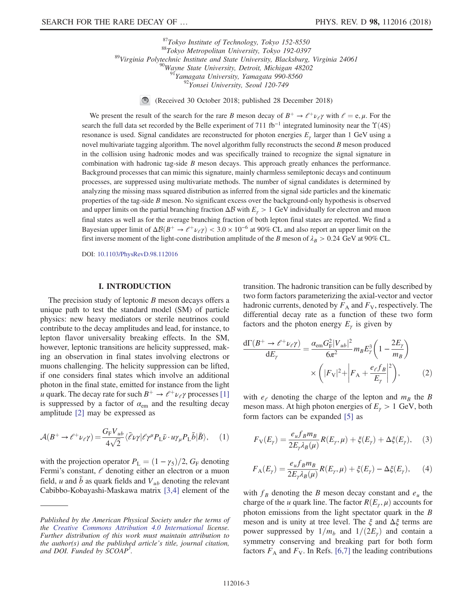<sup>87</sup>Tokyo Institute of Technology, Tokyo 152-8550<br><sup>89</sup>Virginia Polytechnic Institute and State University, Blacksburg, Virginia 24061<br><sup>89</sup>Virginia Polytechnic Institute and State University, Blacksburg, Virginia 24061<br><sup>89</sup>

 $\bigcirc$ (Received 30 October 2018; published 28 December 2018)

We present the result of the search for the rare B meson decay of  $B^+ \to \ell^+ \nu_\ell \gamma$  with  $\ell = e, \mu$ . For the search the full data set recorded by the Belle experiment of 711 fb<sup>-1</sup> integrated luminosity near the  $\Upsilon(4S)$ resonance is used. Signal candidates are reconstructed for photon energies  $E<sub>y</sub>$  larger than 1 GeV using a novel multivariate tagging algorithm. The novel algorithm fully reconstructs the second  $B$  meson produced in the collision using hadronic modes and was specifically trained to recognize the signal signature in combination with hadronic tag-side  $B$  meson decays. This approach greatly enhances the performance. Background processes that can mimic this signature, mainly charmless semileptonic decays and continuum processes, are suppressed using multivariate methods. The number of signal candidates is determined by analyzing the missing mass squared distribution as inferred from the signal side particles and the kinematic properties of the tag-side B meson. No significant excess over the background-only hypothesis is observed and upper limits on the partial branching fraction  $\Delta \mathcal{B}$  with  $E_{\gamma} > 1$  GeV individually for electron and muon final states as well as for the average branching fraction of both lepton final states are reported. We find a Bayesian upper limit of  $\Delta\mathcal{B}(B^+\to \ell^+\nu_\ell\gamma) < 3.0 \times 10^{-6}$  at 90% CL and also report an upper limit on the first inverse moment of the light-cone distribution amplitude of the B meson of  $\lambda_B > 0.24$  GeV at 90% CL.

DOI: [10.1103/PhysRevD.98.112016](https://doi.org/10.1103/PhysRevD.98.112016)

### I. INTRODUCTION

The precision study of leptonic  $B$  meson decays offers a unique path to test the standard model (SM) of particle physics: new heavy mediators or sterile neutrinos could contribute to the decay amplitudes and lead, for instance, to lepton flavor universality breaking effects. In the SM, however, leptonic transitions are helicity suppressed, making an observation in final states involving electrons or muons challenging. The helicity suppression can be lifted, if one considers final states which involve an additional photon in the final state, emitted for instance from the light u quark. The decay rate for such  $B^+ \to \ell^+ \nu_\ell \gamma$  processes [\[1\]](#page-11-0) is suppressed by a factor of  $\alpha_{em}$  and the resulting decay amplitude [\[2\]](#page-11-1) may be expressed as

$$
\mathcal{A}(B^+ \to \ell^+ \nu_\ell \gamma) = \frac{G_{\rm F} V_{ub}}{4\sqrt{2}} \langle \bar{\ell} \nu \gamma | \ell \gamma^\mu P_{\rm L} \bar{\nu} \cdot u \gamma_\mu P_{\rm L} \bar{b} | \bar{B} \rangle, \quad (1)
$$

with the projection operator  $P_L = (1 - \gamma_5)/2$ ,  $G_F$  denoting Fermi's constant,  $\ell$  denoting either an electron or a muon field, u and  $\bar{b}$  as quark fields and  $V_{ub}$  denoting the relevant Cabibbo-Kobayashi-Maskawa matrix [\[3,4\]](#page-11-2) element of the transition. The hadronic transition can be fully described by two form factors parameterizing the axial-vector and vector hadronic currents, denoted by  $F_A$  and  $F_V$ , respectively. The differential decay rate as a function of these two form factors and the photon energy  $E_{\gamma}$  is given by

<span id="page-2-0"></span>
$$
\frac{d\Gamma(B^+ \to \ell^+ \nu_\ell \gamma)}{dE_\gamma} = \frac{\alpha_{\rm em} G_{\rm F}^2 |V_{ub}|^2}{6\pi^2} m_B E_\gamma^3 \left(1 - \frac{2E_\gamma}{m_B}\right) \times \left(|F_{\rm V}|^2 + \left|F_{\rm A} + \frac{e_\ell f_B}{E_\gamma}\right|^2\right),\tag{2}
$$

with  $e_e$  denoting the charge of the lepton and  $m_B$  the B meson mass. At high photon energies of  $E_{\gamma} > 1$  GeV, both form factors can be expanded [\[5\]](#page-11-3) as

$$
F_{\mathcal{V}}(E_{\gamma}) = \frac{e_u f_B m_B}{2E_{\gamma} \lambda_B(\mu)} R(E_{\gamma}, \mu) + \xi(E_{\gamma}) + \Delta \xi(E_{\gamma}), \quad (3)
$$

$$
F_{\mathcal{A}}(E_{\gamma}) = \frac{e_u f_B m_B}{2E_{\gamma} \lambda_B(\mu)} R(E_{\gamma}, \mu) + \xi(E_{\gamma}) - \Delta \xi(E_{\gamma}), \qquad (4)
$$

with  $f_B$  denoting the B meson decay constant and  $e_u$  the charge of the u quark line. The factor  $R(E_{\gamma}, \mu)$  accounts for photon emissions from the light spectator quark in the B meson and is unity at tree level. The  $\xi$  and  $\Delta \xi$  terms are power suppressed by  $1/m_b$  and  $1/(2E_\gamma)$  and contain a symmetry conserving and breaking part for both form factors  $F_A$  and  $F_V$ . In Refs. [\[6,7\]](#page-11-4) the leading contributions

Published by the American Physical Society under the terms of the [Creative Commons Attribution 4.0 International](https://creativecommons.org/licenses/by/4.0/) license. Further distribution of this work must maintain attribution to the author(s) and the published article's title, journal citation, and DOI. Funded by SCOAP<sup>3</sup>.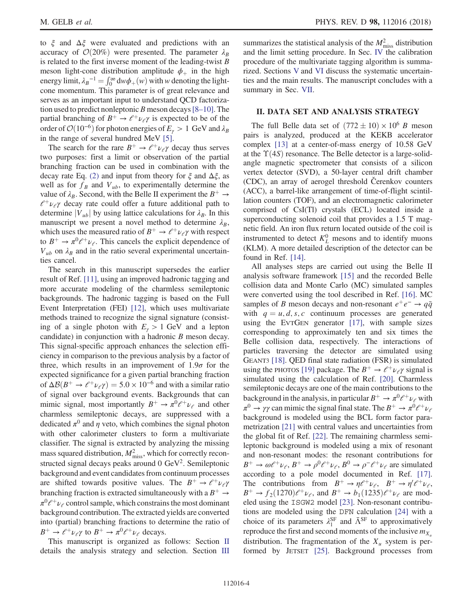to  $\xi$  and  $\Delta \xi$  were evaluated and predictions with an accuracy of  $\mathcal{O}(20\%)$  were presented. The parameter  $\lambda_B$ is related to the first inverse moment of the leading-twist  $B$ meson light-cone distribution amplitude  $\phi_+$  in the high energy limit,  $\lambda_B^{-1} = \int_0^\infty dw \phi_+(w)$  with w denoting the lightcone momentum. This parameter is of great relevance and serves as an important input to understand QCD factorization used to predict nonleptonic B meson decays  $[8-10]$ . The partial branching of  $B^+ \to e^+ \nu_e \gamma$  is expected to be of the order of  $\mathcal{O}(10^{-6})$  for photon energies of  $E_{\gamma} > 1~{\rm GeV}$  and  $\lambda_B$ in the range of several hundred MeV [\[5\].](#page-11-3)

The search for the rare  $B^+ \rightarrow e^+ \nu_e \gamma$  decay thus serves two purposes: first a limit or observation of the partial branching fraction can be used in combination with the decay rate Eq. [\(2\)](#page-2-0) and input from theory for  $\xi$  and  $\Delta \xi$ , as well as for  $f_B$  and  $V_{ub}$ , to experimentally determine the value of  $\lambda_B$ . Second, with the Belle II experiment the  $B^+ \rightarrow$  $l^+ \nu_l$  decay rate could offer a future additional path to determine  $|V_{ub}|$  by using lattice calculations for  $\lambda_B$ . In this manuscript we present a novel method to determine  $\lambda_B$ , which uses the measured ratio of  $B^+ \to \ell^+ \nu_\ell \gamma$  with respect to  $B^+ \to \pi^0 \ell^+ \nu_{\ell}$ . This cancels the explicit dependence of  $V_{ub}$  on  $\lambda_B$  and in the ratio several experimental uncertainties cancel.

The search in this manuscript supersedes the earlier result of Ref. [\[11\],](#page-11-6) using an improved hadronic tagging and more accurate modeling of the charmless semileptonic backgrounds. The hadronic tagging is based on the Full Event Interpretation (FEI) [\[12\],](#page-11-7) which uses multivariate methods trained to recognize the signal signature (consisting of a single photon with  $E_y > 1$  GeV and a lepton candidate) in conjunction with a hadronic B meson decay. This signal-specific approach enhances the selection efficiency in comparison to the previous analysis by a factor of three, which results in an improvement of  $1.9\sigma$  for the expected significance for a given partial branching fraction of  $\Delta\mathcal{B}(B^+ \to \ell^+ \nu_\ell \gamma) = 5.0 \times 10^{-6}$  and with a similar ratio of signal over background events. Backgrounds that can mimic signal, most importantly  $B^+ \to \pi^0 \ell^+ \nu_\ell$  and other charmless semileptonic decays, are suppressed with a dedicated  $\pi^0$  and  $\eta$  veto, which combines the signal photon with other calorimeter clusters to form a multivariate classifier. The signal is extracted by analyzing the missing mass squared distribution,  $M_{\text{miss}}^2$ , which for correctly reconstructed signal decays peaks around  $0 \text{ GeV}^2$ . Semileptonic background and event candidates from continuum processes are shifted towards positive values. The  $B^+ \rightarrow e^+ \nu_e \gamma$ branching fraction is extracted simultaneously with a  $B^+ \rightarrow$  $\pi^0e^+\nu_e$  control sample, which constrains the most dominant background contribution. The extracted yields are converted into (partial) branching fractions to determine the ratio of  $B^+ \to \ell^+ \nu_\ell \gamma$  to  $B^+ \to \pi^0 \ell^+ \nu_\ell$  decays.

This manuscript is organized as follows: Section [II](#page-3-0) details the analysis strategy and selection. Section [III](#page-5-0)

summarizes the statistical analysis of the  $M<sub>miss</sub><sup>2</sup>$  distribution and the limit setting procedure. In Sec. [IV](#page-6-0) the calibration procedure of the multivariate tagging algorithm is summarized. Sections [V](#page-7-0) and [VI](#page-8-0) discuss the systematic uncertainties and the main results. The manuscript concludes with a summary in Sec. [VII.](#page-10-0)

### <span id="page-3-0"></span>II. DATA SET AND ANALYSIS STRATEGY

The full Belle data set of  $(772 \pm 10) \times 10^6$  B meson pairs is analyzed, produced at the KEKB accelerator complex [\[13\]](#page-12-0) at a center-of-mass energy of 10.58 GeV at the  $\Upsilon(4S)$  resonance. The Belle detector is a large-solidangle magnetic spectrometer that consists of a silicon vertex detector (SVD), a 50-layer central drift chamber (CDC), an array of aerogel threshold Čerenkov counters (ACC), a barrel-like arrangement of time-of-flight scintillation counters (TOF), and an electromagnetic calorimeter comprised of CsI(Tl) crystals (ECL) located inside a superconducting solenoid coil that provides a 1.5 T magnetic field. An iron flux return located outside of the coil is instrumented to detect  $K_L^0$  mesons and to identify muons (KLM). A more detailed description of the detector can be found in Ref. [\[14\]](#page-12-1).

All analyses steps are carried out using the Belle II analysis software framework [\[15\]](#page-12-2) and the recorded Belle collision data and Monte Carlo (MC) simulated samples were converted using the tool described in Ref. [\[16\].](#page-12-3) MC samples of B meson decays and non-resonant  $e^+e^- \rightarrow q\bar{q}$ with  $q = u, d, s, c$  continuum processes are generated using the EVTGEN generator [\[17\]](#page-12-4), with sample sizes corresponding to approximately ten and six times the Belle collision data, respectively. The interactions of particles traversing the detector are simulated using GEANT3 [\[18\].](#page-12-5) QED final state radiation (FSR) is simulated using the PHOTOS [\[19\]](#page-12-6) package. The  $B^+ \rightarrow e^+ \nu_e \gamma$  signal is simulated using the calculation of Ref. [\[20\].](#page-12-7) Charmless semileptonic decays are one of the main contributions to the background in the analysis, in particular  $B^+ \to \pi^0 \ell^+ \nu_\ell$  with  $\pi^0 \to \gamma \gamma$  can mimic the signal final state. The  $B^+ \to \pi^0 \ell^+ \nu_\ell$ background is modeled using the BCL form factor parametrization [\[21\]](#page-12-8) with central values and uncertainties from the global fit of Ref. [\[22\]](#page-12-9). The remaining charmless semileptonic background is modeled using a mix of resonant and non-resonant modes: the resonant contributions for  $B^+ \to \omega \ell^+ \nu_\ell, B^+ \to \rho^0 \ell^+ \nu_\ell, B^0 \to \rho^- \ell^+ \nu_\ell$  are simulated according to a pole model documented in Ref. [\[17\]](#page-12-4). The contributions from  $B^+ \to \eta \ell^+ \nu_\ell$ ,  $B^+ \to \eta' \ell^+ \nu_\ell$ ,  $B^+ \rightarrow f_2(1270)\ell^+ \nu_\ell$ , and  $B^+ \rightarrow b_1(1235)\ell^+ \nu_\ell$  are modeled using the ISGW2 model [\[23\].](#page-12-10) Non-resonant contributions are modeled using the DFN calculation [\[24\]](#page-12-11) with a choice of its parameters  $\lambda_1^{\rm SF}$  and  $\bar{\Lambda}^{\rm SF}$  to approximatively reproduce the first and second moments of the inclusive  $m_{X_u}$ distribution. The fragmentation of the  $X_u$  system is performed by JETSET [\[25\]](#page-12-12). Background processes from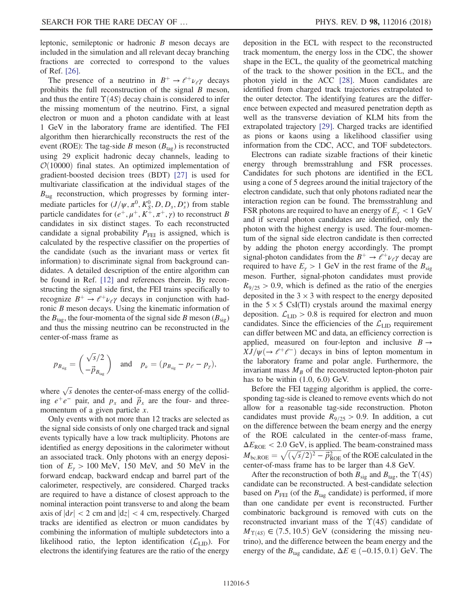leptonic, semileptonic or hadronic B meson decays are included in the simulation and all relevant decay branching fractions are corrected to correspond to the values of Ref. [\[26\].](#page-12-13)

The presence of a neutrino in  $B^+ \rightarrow e^+ \nu_e \gamma$  decays prohibits the full reconstruction of the signal  $B$  meson, and thus the entire  $\Upsilon(4S)$  decay chain is considered to infer the missing momentum of the neutrino. First, a signal electron or muon and a photon candidate with at least 1 GeV in the laboratory frame are identified. The FEI algorithm then hierarchically reconstructs the rest of the event (ROE): The tag-side B meson ( $B_{\text{tag}}$ ) is reconstructed using 29 explicit hadronic decay channels, leading to  $\mathcal{O}(10000)$  final states. An optimized implementation of gradient-boosted decision trees (BDT) [\[27\]](#page-12-14) is used for multivariate classification at the individual stages of the  $B_{\text{tag}}$  reconstruction, which progresses by forming intermediate particles for  $(J/\psi, \pi^0, K_S^0, D, D_s, D_s^*)$  from stable particle candidates for  $(e^+, \mu^+, K^+, \pi^+, \gamma)$  to reconstruct B candidates in six distinct stages. To each reconstructed candidate a signal probability  $P_{\text{FEI}}$  is assigned, which is calculated by the respective classifier on the properties of the candidate (such as the invariant mass or vertex fit information) to discriminate signal from background candidates. A detailed description of the entire algorithm can be found in Ref. [\[12\]](#page-11-7) and references therein. By reconstructing the signal side first, the FEI trains specifically to recognize  $B^+ \rightarrow e^+ \nu_e \gamma$  decays in conjunction with hadronic B meson decays. Using the kinematic information of the  $B_{\text{tag}}$ , the four-momenta of the signal side B meson ( $B_{\text{sig}}$ ) and thus the missing neutrino can be reconstructed in the center-of-mass frame as

$$
p_{B_{\text{sig}}} = \begin{pmatrix} \sqrt{s}/2 \\ -\vec{p}_{B_{\text{tag}}} \end{pmatrix} \text{ and } p_{\nu} = (p_{B_{\text{sig}}} - p_{\ell} - p_{\gamma}),
$$

where  $\sqrt{s}$  denotes the center-of-mass energy of the colliding  $e^+e^-$  pair, and  $p_x$  and  $\vec{p}_x$  are the four- and threemomentum of a given particle  $x$ .

Only events with not more than 12 tracks are selected as the signal side consists of only one charged track and signal events typically have a low track multiplicity. Photons are identified as energy depositions in the calorimeter without an associated track. Only photons with an energy deposition of  $E_y > 100$  MeV, 150 MeV, and 50 MeV in the forward endcap, backward endcap and barrel part of the calorimeter, respectively, are considered. Charged tracks are required to have a distance of closest approach to the nominal interaction point transverse to and along the beam axis of  $|dr| < 2$  cm and  $|dz| < 4$  cm, respectively. Charged tracks are identified as electron or muon candidates by combining the information of multiple subdetectors into a likelihood ratio, the lepton identification  $(\mathcal{L}_{\text{LID}})$ . For electrons the identifying features are the ratio of the energy

deposition in the ECL with respect to the reconstructed track momentum, the energy loss in the CDC, the shower shape in the ECL, the quality of the geometrical matching of the track to the shower position in the ECL, and the photon yield in the ACC [\[28\]](#page-12-15). Muon candidates are identified from charged track trajectories extrapolated to the outer detector. The identifying features are the difference between expected and measured penetration depth as well as the transverse deviation of KLM hits from the extrapolated trajectory [\[29\]](#page-12-16). Charged tracks are identified as pions or kaons using a likelihood classifier using information from the CDC, ACC, and TOF subdetectors.

Electrons can radiate sizable fractions of their kinetic energy through bremsstrahlung and FSR processes. Candidates for such photons are identified in the ECL using a cone of 5 degrees around the initial trajectory of the electron candidate, such that only photons radiated near the interaction region can be found. The bremsstrahlung and FSR photons are required to have an energy of  $E<sub>y</sub> < 1$  GeV and if several photon candidates are identified, only the photon with the highest energy is used. The four-momentum of the signal side electron candidate is then corrected by adding the photon energy accordingly. The prompt signal-photon candidates from the  $B^+ \to \ell^+ \nu_\ell \gamma$  decay are required to have  $E_{\gamma} > 1$  GeV in the rest frame of the  $B_{sig}$ meson. Further, signal-photon candidates must provide  $R_{9/25} > 0.9$ , which is defined as the ratio of the energies deposited in the  $3 \times 3$  with respect to the energy deposited in the  $5 \times 5$  CsI(Tl) crystals around the maximal energy deposition.  $\mathcal{L}_{\text{LID}} > 0.8$  is required for electron and muon candidates. Since the efficiencies of the  $\mathcal{L}_{\text{LID}}$  requirement can differ between MC and data, an efficiency correction is applied, measured on four-lepton and inclusive  $B \rightarrow$  $XJ/\psi(\rightarrow \ell^+\ell^-)$  decays in bins of lepton momentum in the laboratory frame and polar angle. Furthermore, the invariant mass  $M_B$  of the reconstructed lepton-photon pair has to be within (1.0, 6.0) GeV.

Before the FEI tagging algorithm is applied, the corresponding tag-side is cleaned to remove events which do not allow for a reasonable tag-side reconstruction. Photon candidates must provide  $R_{9/25} > 0.9$ . In addition, a cut on the difference between the beam energy and the energy of the ROE calculated in the center-of-mass frame,  $\Delta E_{\text{ROE}}$  < 2.0 GeV, is applied. The beam-constrained mass  $M_{\text{bc},\text{ROE}} = \sqrt{(\sqrt{s}/2)^2 - \vec{p}_{\text{ROE}}^2}$  of the ROE calculated in the center-of-mass frame has to be larger than 4.8 GeV.

After the reconstruction of both  $B_{sig}$  and  $B_{tag}$ , the  $\Upsilon(4S)$ candidate can be reconstructed. A best-candidate selection based on  $P_{\text{FEI}}$  (of the  $B_{\text{tag}}$  candidate) is performed, if more than one candidate per event is reconstructed. Further combinatoric background is removed with cuts on the reconstructed invariant mass of the  $\Upsilon(4S)$  candidate of  $M_{\Upsilon(4S)} \in (7.5, 10.5)$  GeV (considering the missing neutrino), and the difference between the beam energy and the energy of the  $B_{\text{tag}}$  candidate,  $\Delta E \in (-0.15, 0.1)$  GeV. The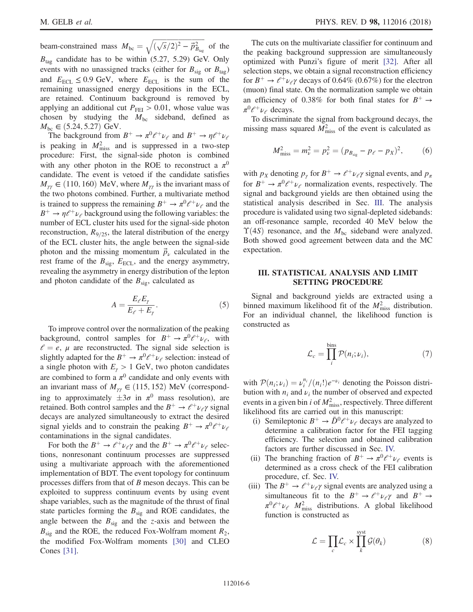beam-constrained mass  $M_{bc} = \sqrt{(\sqrt{s}/2)^2 - \vec{p}_{B_{tag}}^2}$  of the  $B_{\text{tag}}$  candidate has to be within (5.27, 5.29) GeV. Only events with no unassigned tracks (either for  $B_{sig}$  or  $B_{tag}$ ) and  $E_{\text{ECL}} \leq 0.9$  GeV, where  $E_{\text{ECL}}$  is the sum of the remaining unassigned energy depositions in the ECL, are retained. Continuum background is removed by applying an additional cut  $P_{\text{FEI}} > 0.01$ , whose value was chosen by studying the  $M_{bc}$  sideband, defined as  $M_{bc} \in (5.24, 5.27)$  GeV.

The background from  $B^+ \to \pi^0 \ell^+ \nu_\ell$  and  $B^+ \to \eta \ell^+ \nu_\ell$ is peaking in  $M<sub>miss</sub><sup>2</sup>$  and is suppressed in a two-step procedure: First, the signal-side photon is combined with any other photon in the ROE to reconstruct a  $\pi^0$ candidate. The event is vetoed if the candidate satisfies  $M_{\gamma\gamma} \in (110, 160)$  MeV, where  $M_{\gamma\gamma}$  is the invariant mass of the two photons combined. Further, a multivariate method is trained to suppress the remaining  $B^+ \to \pi^0 \ell^+ \nu_\ell$  and the  $B^+ \to \eta \ell^+ \nu_\ell$  background using the following variables: the number of ECL cluster hits used for the signal-side photon reconstruction,  $R_{9/25}$ , the lateral distribution of the energy of the ECL cluster hits, the angle between the signal-side photon and the missing momentum  $\vec{p}_{\nu}$  calculated in the rest frame of the  $B_{sig}$ ,  $E_{ECL}$ , and the energy asymmetry, revealing the asymmetry in energy distribution of the lepton and photon candidate of the  $B_{sig}$ , calculated as

$$
A = \frac{E_{\ell}E_{\gamma}}{E_{\ell} + E_{\gamma}}.\tag{5}
$$

To improve control over the normalization of the peaking background, control samples for  $B^+ \to \pi^0 \ell^+ \nu_\ell$ , with  $l = e$ ,  $\mu$  are reconstructed. The signal side selection is slightly adapted for the  $B^+ \to \pi^0 \ell^+ \nu_\ell$  selection: instead of a single photon with  $E_{\gamma} > 1$  GeV, two photon candidates are combined to form a  $\pi^0$  candidate and only events with an invariant mass of  $M_{\gamma\gamma} \in (115, 152)$  MeV (corresponding to approximately  $\pm 3\sigma$  in  $\pi^0$  mass resolution), are retained. Both control samples and the  $B^+ \rightarrow \ell^+ \nu_\ell \gamma$  signal decays are analyzed simultaneously to extract the desired signal yields and to constrain the peaking  $B^+ \to \pi^0 \ell^+ \nu_\ell$ contaminations in the signal candidates.

For both the  $B^+ \to \ell^+ \nu_\ell \gamma$  and the  $B^+ \to \pi^0 \ell^+ \nu_\ell$  selections, nonresonant continuum processes are suppressed using a multivariate approach with the aforementioned implementation of BDT. The event topology for continuum processes differs from that of B meson decays. This can be exploited to suppress continuum events by using event shape variables, such as the magnitude of the thrust of final state particles forming the  $B_{sig}$  and ROE candidates, the angle between the  $B_{sig}$  and the z-axis and between the  $B_{sig}$  and the ROE, the reduced Fox-Wolfram moment  $R_2$ , the modified Fox-Wolfram moments [\[30\]](#page-12-17) and CLEO Cones [\[31\]](#page-12-18).

The cuts on the multivariate classifier for continuum and the peaking background suppression are simultaneously optimized with Punzi's figure of merit [\[32\]](#page-12-19). After all selection steps, we obtain a signal reconstruction efficiency for  $B^+ \rightarrow \ell^+ \nu_\ell \gamma$  decays of 0.64% (0.67%) for the electron (muon) final state. On the normalization sample we obtain an efficiency of 0.38% for both final states for  $B^+ \rightarrow$  $\pi^0 \ell^+ \nu_\ell$  decays.

To discriminate the signal from background decays, the missing mass squared  $\overline{M}_{\text{miss}}^2$  of the event is calculated as

$$
M_{\text{miss}}^2 = m_\nu^2 = p_\nu^2 = (p_{B_{\text{sig}}} - p_\ell - p_X)^2, \qquad (6)
$$

with  $p_X$  denoting  $p_Y$  for  $B^+ \to \ell^+ \nu_\ell \gamma$  signal events, and  $p_\pi$ for  $B^+ \to \pi^0 \ell^+ \nu_\ell$  normalization events, respectively. The signal and background yields are then obtained using the statistical analysis described in Sec. [III.](#page-5-0) The analysis procedure is validated using two signal-depleted sidebands: an off-resonance sample, recorded 40 MeV below the  $\Upsilon(4S)$  resonance, and the  $M_{bc}$  sideband were analyzed. Both showed good agreement between data and the MC expectation.

### <span id="page-5-0"></span>III. STATISTICAL ANALYSIS AND LIMIT SETTING PROCEDURE

<span id="page-5-2"></span>Signal and background yields are extracted using a binned maximum likelihood fit of the  $M<sub>miss</sub><sup>2</sup>$  distribution. For an individual channel, the likelihood function is constructed as

$$
\mathcal{L}_c = \prod_i^{\text{bins}} \mathcal{P}(n_i; \nu_i),\tag{7}
$$

with  $P(n_i; \nu_i) = \nu_i^{n_i} / (n_i!) e^{-\nu_i}$  denoting the Poisson distribution with  $n_i$  and  $\nu_i$  the number of observed and expected events in a given bin *i* of  $M<sup>2</sup><sub>miss</sub>$ , respectively. Three different likelihood fits are carried out in this manuscript:

- (i) Semileptonic  $B^+ \to \bar{D}^0 \ell^+ \nu_\ell$  decays are analyzed to determine a calibration factor for the FEI tagging efficiency. The selection and obtained calibration factors are further discussed in Sec. [IV.](#page-6-0)
- (ii) The branching fraction of  $B^+ \to \pi^0 \ell^+ \nu_\ell$  events is determined as a cross check of the FEI calibration procedure, cf. Sec. [IV.](#page-6-0)
- <span id="page-5-1"></span>(iii) The  $B^+ \rightarrow e^+ \nu_e \gamma$  signal events are analyzed using a simultaneous fit to the  $B^+ \to \ell^+ \nu_\ell \gamma$  and  $B^+ \to$  $\pi^0 \ell^+ \nu_\ell$   $M^2_{\text{miss}}$  distributions. A global likelihood function is constructed as

$$
\mathcal{L} = \prod_{c} \mathcal{L}_{c} \times \prod_{k}^{\text{syst}} \mathcal{G}(\theta_{k})
$$
(8)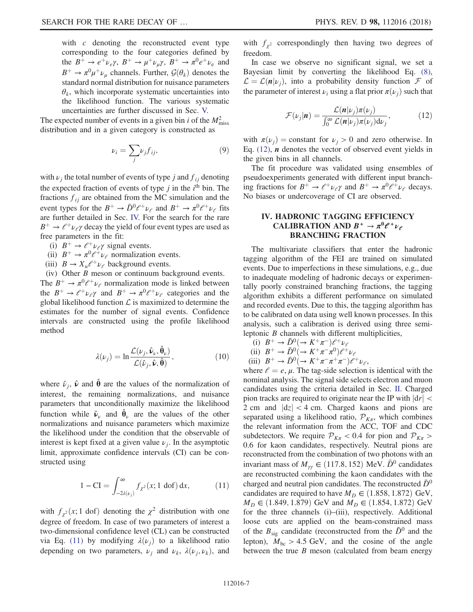with  $c$  denoting the reconstructed event type corresponding to the four categories defined by the  $B^+ \to e^+ \nu_e \gamma$ ,  $B^+ \to \mu^+ \nu_\mu \gamma$ ,  $B^+ \to \pi^0 e^+ \nu_e$  and  $B^+ \to \pi^0 \mu^+ \nu_\mu$  channels. Further,  $\mathcal{G}(\theta_k)$  denotes the standard normal distribution for nuisance parameters  $\theta_k$ , which incorporate systematic uncertainties into the likelihood function. The various systematic uncertainties are further discussed in Sec. [V.](#page-7-0)

The expected number of events in a given bin *i* of the  $M<sup>2</sup><sub>miss</sub>$ distribution and in a given category is constructed as

$$
\nu_i = \sum_j \nu_j f_{ij},\tag{9}
$$

with  $\nu_j$  the total number of events of type j and  $f_{ij}$  denoting the expected fraction of events of type  $j$  in the  $i^{\text{th}}$  bin. The fractions  $f_{ij}$  are obtained from the MC simulation and the event types for the  $B^+ \to \bar{D}^0 \ell^+ \nu_\ell$  and  $B^+ \to \pi^0 \ell^+ \nu_\ell$  fits are further detailed in Sec. [IV.](#page-6-0) For the search for the rare  $B^+ \rightarrow e^+ \nu_e \gamma$  decay the yield of four event types are used as free parameters in the fit:

- (i)  $B^+ \rightarrow \ell^+ \nu_\ell \gamma$  signal events.
- (ii)  $B^+ \to \pi^0 \ell^+ \nu_\ell$  normalization events.
- (iii)  $B \to X_u \ell^+ \nu_\ell$  background events.

<span id="page-6-3"></span>(iv) Other B meson or continuum background events. The  $B^+ \to \pi^0 \ell^+ \nu_\ell$  normalization mode is linked between the  $B^+ \to \ell^+ \nu_\ell \gamma$  and  $B^+ \to \pi^0 \ell^+ \nu_\ell$  categories and the global likelihood function  $\mathcal L$  is maximized to determine the estimates for the number of signal events. Confidence intervals are constructed using the profile likelihood method

$$
\lambda(\nu_j) = \ln \frac{\mathcal{L}(\nu_j, \hat{\mathbf{\nu}}_\nu, \hat{\mathbf{\theta}}_\nu)}{\mathcal{L}(\hat{\nu}_j, \hat{\mathbf{\nu}}, \hat{\mathbf{\theta}})},
$$
(10)

where  $\hat{\nu}_j$ ,  $\hat{\nu}$  and  $\hat{\theta}$  are the values of the normalization of interest, the remaining normalizations, and nuisance parameters that unconditionally maximize the likelihood function while  $\hat{v}_\nu$  and  $\hat{\theta}_\nu$  are the values of the other normalizations and nuisance parameters which maximize the likelihood under the condition that the observable of interest is kept fixed at a given value  $\nu_i$ . In the asymptotic limit, approximate confidence intervals (CI) can be constructed using

<span id="page-6-1"></span>
$$
1 - CI = \int_{-2\lambda(\nu_j)}^{\infty} f_{\chi^2}(x; 1 \text{ dof}) \, dx,\tag{11}
$$

with  $f_{\chi^2}(x; 1 \text{ dof})$  denoting the  $\chi^2$  distribution with one degree of freedom. In case of two parameters of interest a two-dimensional confidence level (CL) can be constructed via Eq. [\(11\)](#page-6-1) by modifying  $\lambda(\nu_i)$  to a likelihood ratio depending on two parameters,  $\nu_j$  and  $\nu_k$ ,  $\lambda(\nu_j, \nu_k)$ , and with  $f_{\chi^2}$  correspondingly then having two degrees of freedom.

<span id="page-6-2"></span>In case we observe no significant signal, we set a Bayesian limit by converting the likelihood Eq. [\(8\)](#page-5-1),  $\mathcal{L} = \mathcal{L}(\mathbf{n}|\nu_i)$ , into a probability density function F of the parameter of interest  $\nu_i$  using a flat prior  $\pi(\nu_i)$  such that

$$
\mathcal{F}(\nu_j|\boldsymbol{n}) = \frac{\mathcal{L}(\boldsymbol{n}|\nu_j)\pi(\nu_j)}{\int_0^\infty \mathcal{L}(\boldsymbol{n}|\nu_j)\pi(\nu_j)\mathrm{d}\nu_j},\tag{12}
$$

with  $\pi(\nu_i) = \text{constant}$  for  $\nu_i > 0$  and zero otherwise. In Eq.  $(12)$ , *n* denotes the vector of observed event yields in the given bins in all channels.

The fit procedure was validated using ensembles of pseudoexperiments generated with different input branching fractions for  $B^+ \to \ell^+ \nu_\ell \gamma$  and  $B^+ \to \pi^0 \ell^+ \nu_\ell$  decays. No biases or undercoverage of CI are observed.

## <span id="page-6-0"></span>IV. HADRONIC TAGGING EFFICIENCY CALIBRATION AND  $B^+ \to \pi^0 \ell^+ \nu_\ell$ BRANCHING FRACTION

The multivariate classifiers that enter the hadronic tagging algorithm of the FEI are trained on simulated events. Due to imperfections in these simulations, e.g., due to inadequate modeling of hadronic decays or experimentally poorly constrained branching fractions, the tagging algorithm exhibits a different performance on simulated and recorded events. Due to this, the tagging algorithm has to be calibrated on data using well known processes. In this analysis, such a calibration is derived using three semileptonic B channels with different multiplicities,

(i) 
$$
B^+ \to \bar{D}^0 (\to K^+ \pi^-) \ell^+ \nu_\ell
$$

(ii) 
$$
B^+ \rightarrow \bar{D}^0 \rightarrow K^+ \pi^- \pi^0) \ell^+ \nu_\ell
$$

(iii) 
$$
B^+ \to \bar{D}^0 \rightarrow K^+ \pi^- \pi^+ \pi^-) \ell^+ \nu_{\ell}
$$
,

where  $e = e$ ,  $\mu$ . The tag-side selection is identical with the nominal analysis. The signal side selects electron and muon candidates using the criteria detailed in Sec. [II](#page-3-0). Charged pion tracks are required to originate near the IP with  $|dr|$  < 2 cm and  $|dz| < 4$  cm. Charged kaons and pions are separated using a likelihood ratio,  $\mathcal{P}_{K\pi}$ , which combines the relevant information from the ACC, TOF and CDC subdetectors. We require  $P_{K\pi}$  < 0.4 for pion and  $P_{K\pi}$  > 0.6 for kaon candidates, respectively. Neutral pions are reconstructed from the combination of two photons with an invariant mass of  $M_{\gamma\gamma} \in (117.8, 152)$  MeV.  $\bar{D}^0$  candidates are reconstructed combining the kaon candidates with the charged and neutral pion candidates. The reconstructed  $\bar{D}^0$ candidates are required to have  $M_D \in (1.858, 1.872)$  GeV,  $M_D \in (1.849, 1.879)$  GeV and  $M_D \in (1.854, 1.872)$  GeV for the three channels (i)–(iii), respectively. Additional loose cuts are applied on the beam-constrained mass of the  $B_{\rm sig}$  candidate (reconstructed from the  $\bar{D}^0$  and the lepton),  $M_{bc} > 4.5$  GeV, and the cosine of the angle between the true  $B$  meson (calculated from beam energy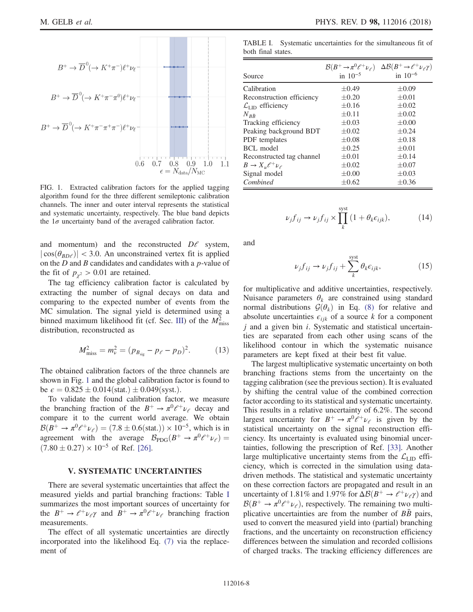<span id="page-7-1"></span>
$$
B^{+} \rightarrow \overline{D}^{0}(\rightarrow K^{+}\pi^{-})\ell^{+}\nu_{\ell}
$$
\n
$$
B^{+} \rightarrow \overline{D}^{0}(\rightarrow K^{+}\pi^{-}\pi^{0})\ell^{+}\nu_{\ell}
$$
\n
$$
B^{+} \rightarrow \overline{D}^{0}(\rightarrow K^{+}\pi^{-}\pi^{+}\pi^{-})\ell^{+}\nu_{\ell}
$$
\n
$$
0.6 \quad 0.7 \quad 0.8 \quad 0.9 \quad 1.0 \quad 1.1
$$
\n
$$
\epsilon = N_{\text{data}}/N_{\text{MC}}
$$

**The Common** 

FIG. 1. Extracted calibration factors for the applied tagging algorithm found for the three different semileptonic calibration channels. The inner and outer interval represents the statistical and systematic uncertainty, respectively. The blue band depicts the  $1\sigma$  uncertainty band of the averaged calibration factor.

and momentum) and the reconstructed  $D\ell$  system,  $|\cos(\theta_{BD\ell})|$  < 3.0. An unconstrained vertex fit is applied on the  $D$  and  $B$  candidates and candidates with a  $p$ -value of the fit of  $p_{\gamma^2} > 0.01$  are retained.

The tag efficiency calibration factor is calculated by extracting the number of signal decays on data and comparing to the expected number of events from the MC simulation. The signal yield is determined using a binned maximum likelihood fit (cf. Sec. [III\)](#page-5-0) of the  $M<sup>2</sup><sub>miss</sub>$ distribution, reconstructed as

$$
M_{\text{miss}}^2 = m_\nu^2 = (p_{B_{\text{sig}}} - p_\ell - p_D)^2. \tag{13}
$$

The obtained calibration factors of the three channels are shown in Fig. [1](#page-7-1) and the global calibration factor is found to be  $\epsilon = 0.825 \pm 0.014$  (stat.)  $\pm 0.049$  (syst.).

To validate the found calibration factor, we measure the branching fraction of the  $B^+ \to \pi^0 \ell^+ \nu_\ell$  decay and compare it to the current world average. We obtain  $\mathcal{B}(B^+ \to \pi^0 \ell^+ \nu_\ell) = (7.8 \pm 0.6 (\text{stat.})) \times 10^{-5}$ , which is in agreement with the average  $\mathcal{B}_{\text{PDG}}(B^+ \to \pi^0 \ell^+ \nu_\ell)$  $(7.80 \pm 0.27) \times 10^{-5}$  of Ref. [\[26\]](#page-12-13).

### V. SYSTEMATIC UNCERTAINTIES

<span id="page-7-0"></span>There are several systematic uncertainties that affect the measured yields and partial branching fractions: Table [I](#page-7-2) summarizes the most important sources of uncertainty for the  $B^+ \to \ell^+ \nu_\ell \gamma$  and  $B^+ \to \pi^0 \ell^+ \nu_\ell$  branching fraction measurements.

The effect of all systematic uncertainties are directly incorporated into the likelihood Eq. [\(7\)](#page-5-2) via the replacement of

<span id="page-7-2"></span>TABLE I. Systematic uncertainties for the simultaneous fit of both final states.

|                                       |              | $\mathcal{B}(B^+\to\pi^0\ell^+\nu_{\ell})\quad \Delta\mathcal{B}(B^+\to\ell^+\nu_{\ell}\gamma)$ |
|---------------------------------------|--------------|-------------------------------------------------------------------------------------------------|
| Source                                | in $10^{-5}$ | in $10^{-6}$                                                                                    |
| Calibration                           | $\pm 0.49$   | $\pm 0.09$                                                                                      |
| Reconstruction efficiency             | $\pm 0.20$   | $\pm 0.01$                                                                                      |
| $\mathcal{L}_{\text{LID}}$ efficiency | $\pm 0.16$   | $\pm 0.02$                                                                                      |
| $N_{B\bar{B}}$                        | $\pm 0.11$   | $\pm 0.02$                                                                                      |
| Tracking efficiency                   | $\pm 0.03$   | $\pm 0.00$                                                                                      |
| Peaking background BDT                | $\pm 0.02$   | $\pm 0.24$                                                                                      |
| PDF templates                         | $\pm 0.08$   | $\pm 0.18$                                                                                      |
| BCL model                             | $\pm 0.25$   | $\pm 0.01$                                                                                      |
| Reconstructed tag channel             | $\pm 0.01$   | $\pm 0.14$                                                                                      |
| $B \to X_{\mu} \ell^+ \nu_{\ell}$     | $\pm 0.02$   | $\pm 0.07$                                                                                      |
| Signal model                          | $\pm 0.00$   | $\pm 0.03$                                                                                      |
| Combined                              | $\pm 0.62$   | $\pm 0.36$                                                                                      |

$$
\nu_j f_{ij} \to \nu_j f_{ij} \times \prod_k^{\text{syst}} (1 + \theta_k \epsilon_{ijk}), \tag{14}
$$

and

$$
\nu_j f_{ij} \to \nu_j f_{ij} + \sum_k^{\text{syst}} \theta_k \epsilon_{ijk}, \tag{15}
$$

for multiplicative and additive uncertainties, respectively. Nuisance parameters  $\theta_k$  are constrained using standard normal distributions  $G(\theta_k)$  in Eq. [\(8\)](#page-5-1) for relative and absolute uncertainties  $\epsilon_{ijk}$  of a source k for a component  $j$  and a given bin  $i$ . Systematic and statistical uncertainties are separated from each other using scans of the likelihood contour in which the systematic nuisance parameters are kept fixed at their best fit value.

The largest multiplicative systematic uncertainty on both branching fractions stems from the uncertainty on the tagging calibration (see the previous section). It is evaluated by shifting the central value of the combined correction factor according to its statistical and systematic uncertainty. This results in a relative uncertainty of 6.2%. The second largest uncertainty for  $B^+ \to \pi^0 e^+ \nu_e$  is given by the statistical uncertainty on the signal reconstruction efficiency. Its uncertainty is evaluated using binomial uncertainties, following the prescription of Ref. [\[33\]](#page-12-20). Another large multiplicative uncertainty stems from the  $\mathcal{L}_{\text{LID}}$  efficiency, which is corrected in the simulation using datadriven methods. The statistical and systematic uncertainty on these correction factors are propagated and result in an uncertainty of 1.81% and 1.97% for  $\Delta\mathcal{B}(B^+ \to \ell^+ \nu_\ell \gamma)$  and  $\mathcal{B}(B^+ \to \pi^0 \ell^+ \nu_\ell)$ , respectively. The remaining two multiplicative uncertainties are from the number of  $B\bar{B}$  pairs, used to convert the measured yield into (partial) branching fractions, and the uncertainty on reconstruction efficiency differences between the simulation and recorded collisions of charged tracks. The tracking efficiency differences are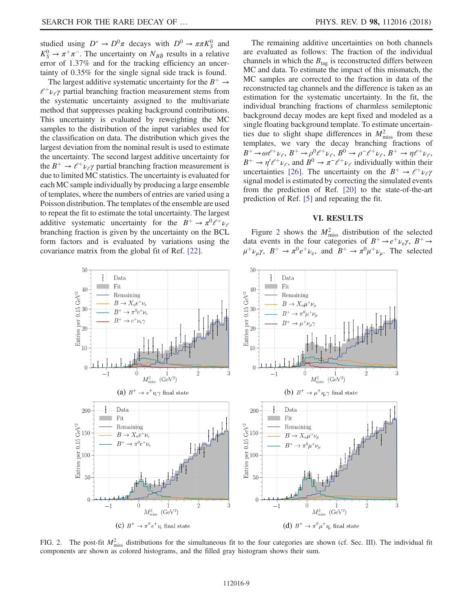studied using  $D^* \to D^0 \pi$  decays with  $D^0 \to \pi \pi K_S^0$  and  $K_S^0 \rightarrow \pi^+\pi^-$ . The uncertainty on  $N_{B\bar{B}}$  results in a relative error of 1.37% and for the tracking efficiency an uncertainty of 0.35% for the single signal side track is found.

The largest additive systematic uncertainty for the  $B^+ \rightarrow$  $l^+ \nu_\ell \gamma$  partial branching fraction measurement stems from the systematic uncertainty assigned to the multivariate method that suppresses peaking background contributions. This uncertainty is evaluated by reweighting the MC samples to the distribution of the input variables used for the classification on data. The distribution which gives the largest deviation from the nominal result is used to estimate the uncertainty. The second largest additive uncertainty for the  $B^+ \rightarrow e^+ \nu_e \gamma$  partial branching fraction measurement is due to limited MC statistics. The uncertainty is evaluated for each MC sample individually by producing a large ensemble of templates, where the numbers of entries are varied using a Poisson distribution. The templates of the ensemble are used to repeat the fit to estimate the total uncertainty. The largest additive systematic uncertainty for the  $B^+ \to \pi^0 \ell^+ \nu_\ell$ branching fraction is given by the uncertainty on the BCL form factors and is evaluated by variations using the covariance matrix from the global fit of Ref. [\[22\].](#page-12-9)

The remaining additive uncertainties on both channels are evaluated as follows: The fraction of the individual channels in which the  $B_{\text{tag}}$  is reconstructed differs between MC and data. To estimate the impact of this mismatch, the MC samples are corrected to the fraction in data of the reconstructed tag channels and the difference is taken as an estimation for the systematic uncertainty. In the fit, the individual branching fractions of charmless semileptonic background decay modes are kept fixed and modeled as a single floating background template. To estimate uncertainties due to slight shape differences in  $M<sub>miss</sub><sup>2</sup>$  from these templates, we vary the decay branching fractions of  $B^+\to\omega\ell^+\nu_\ell,\, B^+\to\rho^0\ell^+\nu_\ell,\, B^0\to\rho^-\ell^+\nu_\ell,\, B^+\to\eta\ell^+\nu_\ell,$  $B^+ \to \eta' \ell^+ \nu_\ell$ , and  $B^0 \to \pi^- \ell^+ \nu_\ell$  individually within their uncertainties [\[26\]](#page-12-13). The uncertainty on the  $B^+ \rightarrow e^+ \nu_e \gamma$ signal model is estimated by correcting the simulated events from the prediction of Ref. [\[20\]](#page-12-7) to the state-of-the-art prediction of Ref. [\[5\]](#page-11-3) and repeating the fit.

### VI. RESULTS

<span id="page-8-0"></span>Figure [2](#page-8-1) shows the  $M<sub>miss</sub><sup>2</sup>$  distribution of the selected data events in the four categories of  $B^+ \rightarrow e^+ \nu_e \gamma$ ,  $B^+ \rightarrow$  $\mu^+ \nu_u \gamma$ ,  $B^+ \to \pi^0 e^+ \nu_e$ , and  $B^+ \to \pi^0 \mu^+ \nu_u$ . The selected

<span id="page-8-1"></span>

FIG. 2. The post-fit  $M_{\text{miss}}^2$  distributions for the simultaneous fit to the four categories are shown (cf. Sec. [III](#page-5-0)). The individual fit components are shown as colored histograms, and the filled gray histogram shows their sum.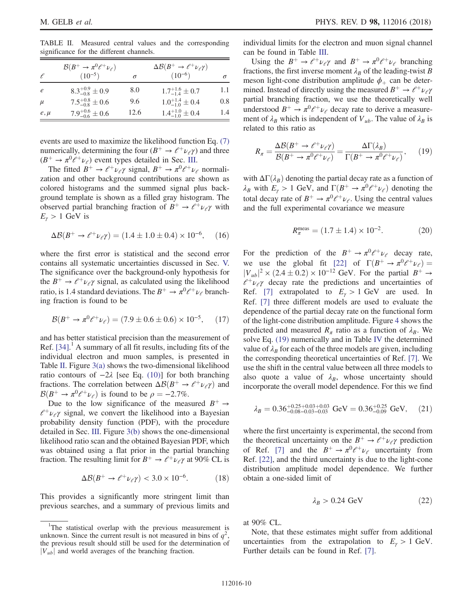<span id="page-9-0"></span>TABLE II. Measured central values and the corresponding significance for the different channels.

|          | $\mathcal{B}(B^+\to\pi^0\ell^+\nu_{\ell})$ |      | $\Delta\mathcal{B}(B^+\to\ell^+\nu_{\ell}\gamma)$ |          |
|----------|--------------------------------------------|------|---------------------------------------------------|----------|
|          | $(10^{-5})$                                | σ    | $(10^{-6})$                                       | $\sigma$ |
| e        | $8.3^{+0.9}_{-0.8}\pm 0.9$                 | 8.0  | $1.7^{+1.6}_{-1.4}\pm 0.7$                        | 1.1      |
| $\mu$    | $7.5^{+0.8}_{-0.8} \pm 0.6$                | 9.6  | $1.0^{+1.4}_{-1.0} \pm 0.4$                       | 0.8      |
| $e, \mu$ | $7.9^{+0.6}_{-0.6}\pm 0.6$                 | 12.6 | $1.4^{+1.0}_{-1.0}\pm 0.4$                        | 1.4      |

events are used to maximize the likelihood function Eq. [\(7\)](#page-5-2) numerically, determining the four  $(B^+ \rightarrow \ell^+ \nu_{\ell} \gamma)$  and three  $(B^+ \to \pi^0 \ell^+ \nu_\ell)$  event types detailed in Sec. [III.](#page-5-0)

The fitted  $B^+ \to \ell^+ \nu_\ell \gamma$  signal,  $B^+ \to \pi^0 \ell^+ \nu_\ell$  normalization and other background contributions are shown as colored histograms and the summed signal plus background template is shown as a filled gray histogram. The observed partial branching fraction of  $B^+ \to \ell^+ \nu_\ell \gamma$  with  $E_{\gamma} > 1$  GeV is

$$
\Delta \mathcal{B}(B^+ \to \ell^+ \nu_\ell \gamma) = (1.4 \pm 1.0 \pm 0.4) \times 10^{-6}, \quad (16)
$$

where the first error is statistical and the second error contains all systematic uncertainties discussed in Sec. [V.](#page-7-0) The significance over the background-only hypothesis for the  $B^+ \rightarrow \ell^+ \nu_\ell \gamma$  signal, as calculated using the likelihood ratio, is 1.4 standard deviations. The  $B^+ \to \pi^0 \ell^+ \nu_\ell$  branching fraction is found to be

$$
\mathcal{B}(B^+ \to \pi^0 \ell^+ \nu_\ell) = (7.9 \pm 0.6 \pm 0.6) \times 10^{-5}, \quad (17)
$$

and has better statistical precision than the measurement of Ref. [\[34\]](#page-12-21). <sup>1</sup> A summary of all fit results, including fits of the individual electron and muon samples, is presented in Table [II](#page-9-0). Figure [3\(a\)](#page-10-1) shows the two-dimensional likelihood ratio contours of  $-2\lambda$  [see Eq. [\(10\)\]](#page-6-3) for both branching fractions. The correlation between  $\Delta \mathcal{B}(B^+ \to \ell^+ \nu_\ell \gamma)$  and  $\mathcal{B}(B^+ \to \pi^0 \ell^+ \nu_{\ell})$  is found to be  $\rho = -2.7\%$ .

Due to the low significance of the measured  $B^+ \rightarrow$  $l^+ \nu \rightarrow$  signal, we convert the likelihood into a Bayesian probability density function (PDF), with the procedure detailed in Sec. [III.](#page-5-0) Figure [3\(b\)](#page-10-1) shows the one-dimensional likelihood ratio scan and the obtained Bayesian PDF, which was obtained using a flat prior in the partial branching fraction. The resulting limit for  $B^+ \to e^+ \nu_e \gamma$  at 90% CL is

$$
\Delta \mathcal{B}(B^+ \to \ell^+ \nu_\ell \gamma) < 3.0 \times 10^{-6}.\tag{18}
$$

This provides a significantly more stringent limit than previous searches, and a summary of previous limits and individual limits for the electron and muon signal channel can be found in Table [III.](#page-10-2)

Using the  $B^+ \to \ell^+ \nu_\ell \gamma$  and  $B^+ \to \pi^0 \ell^+ \nu_\ell$  branching fractions, the first inverse moment  $\lambda_B$  of the leading-twist B meson light-cone distribution amplitude  $\phi_+$  can be determined. Instead of directly using the measured  $B^+ \rightarrow e^+ \nu_e \gamma$ partial branching fraction, we use the theoretically well understood  $B^+ \to \pi^0 \ell^+ \nu_\ell$  decay rate to derive a measurement of  $\lambda_B$  which is independent of  $V_{ub}$ . The value of  $\lambda_B$  is related to this ratio as

<span id="page-9-1"></span>
$$
R_{\pi} = \frac{\Delta \mathcal{B}(B^+ \to \ell^+ \nu_{\ell} \gamma)}{\mathcal{B}(B^+ \to \pi^0 \ell^+ \nu_{\ell})} = \frac{\Delta \Gamma(\lambda_B)}{\Gamma(B^+ \to \pi^0 \ell^+ \nu_{\ell})},\qquad(19)
$$

with  $\Delta\Gamma(\lambda_B)$  denoting the partial decay rate as a function of  $\lambda_B$  with  $E_\gamma > 1$  GeV, and  $\Gamma(B^+ \to \pi^0 \ell^+ \nu_\ell)$  denoting the total decay rate of  $B^+ \to \pi^0 \ell^+ \nu_\ell$ . Using the central values and the full experimental covariance we measure

$$
R_{\pi}^{\text{meas}} = (1.7 \pm 1.4) \times 10^{-2}.
$$
 (20)

For the prediction of the  $B^+ \to \pi^0 \ell^+ \nu_\ell$  decay rate, we use the global fit [\[22\]](#page-12-9) of  $\Gamma(B^+ \to \pi^0 \ell^+ \nu_\ell)$  =  $|V_{ub}|^2 \times (2.4 \pm 0.2) \times 10^{-12}$  GeV. For the partial  $B^+ \rightarrow$  $l^+ \nu_l \gamma$  decay rate the predictions and uncertainties of Ref. [\[7\]](#page-11-8) extrapolated to  $E_y > 1$  GeV are used. In Ref. [\[7\]](#page-11-8) three different models are used to evaluate the dependence of the partial decay rate on the functional form of the light-cone distribution amplitude. Figure [4](#page-10-3) shows the predicted and measured  $R_\pi$  ratio as a function of  $\lambda_B$ . We solve Eq. [\(19\)](#page-9-1) numerically and in Table [IV](#page-10-4) the determined value of  $\lambda_B$  for each of the three models are given, including the corresponding theoretical uncertainties of Ref. [\[7\].](#page-11-8) We use the shift in the central value between all three models to also quote a value of  $\lambda_B$ , whose uncertainty should incorporate the overall model dependence. For this we find

$$
\lambda_B = 0.36^{+0.25+0.03+0.03}_{-0.08-0.03-0.03} \text{ GeV} = 0.36^{+0.25}_{-0.09} \text{ GeV}, \quad (21)
$$

where the first uncertainty is experimental, the second from the theoretical uncertainty on the  $B^+ \to \ell^+ \nu_\ell \gamma$  prediction of Ref. [\[7\]](#page-11-8) and the  $B^+ \to \pi^0 \ell^+ \nu_\ell$  uncertainty from Ref. [\[22\],](#page-12-9) and the third uncertainty is due to the light-cone distribution amplitude model dependence. We further obtain a one-sided limit of

$$
\lambda_B > 0.24 \text{ GeV} \tag{22}
$$

at 90% CL.

Note, that these estimates might suffer from additional uncertainties from the extrapolation to  $E_y > 1$  GeV. Further details can be found in Ref. [\[7\]](#page-11-8).

<sup>&</sup>lt;sup>1</sup>The statistical overlap with the previous measurement is unknown. Since the current result is not measured in bins of  $q^2$ , the previous result should still be used for the determination of  $|V_{ub}|$  and world averages of the branching fraction.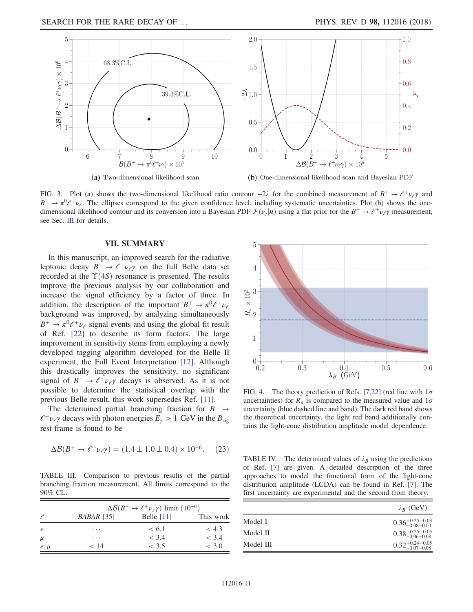<span id="page-10-1"></span>

(a) Two-dimensional likelihood scan



FIG. 3. Plot (a) shows the two-dimensional likelihood ratio contour  $-2\lambda$  for the combined measurement of  $B^+ \to e^+ \nu_e \gamma$  and  $B^+ \rightarrow \pi^0 \ell^+ \nu_\ell$ . The ellipses correspond to the given confidence level, including systematic uncertainties. Plot (b) shows the onedimensional likelihood contour and its conversion into a Bayesian PDF  $\mathcal{F}(\nu_i|\mathbf{n})$  using a flat prior for the  $B^+ \to \ell^+ \nu_\ell \gamma$  measurement, see Sec. [III](#page-5-0) for details.

#### VII. SUMMARY

<span id="page-10-0"></span>In this manuscript, an improved search for the radiative leptonic decay  $B^+ \rightarrow e^+ \nu_e \gamma$  on the full Belle data set recorded at the  $\Upsilon(4S)$  resonance is presented. The results improve the previous analysis by our collaboration and increase the signal efficiency by a factor of three. In addition, the description of the important  $B^+ \to \pi^0 \ell^+ \nu_\ell$ background was improved, by analyzing simultaneously  $B^+ \rightarrow \pi^0 \ell^+ \nu_{\ell}$  signal events and using the global fit result of Ref. [\[22\]](#page-12-9) to describe its form factors. The large improvement in sensitivity stems from employing a newly developed tagging algorithm developed for the Belle II experiment, the Full Event Interpretation [\[12\].](#page-11-7) Although this drastically improves the sensitivity, no significant signal of  $B^+ \rightarrow e^+ \nu_e \gamma$  decays is observed. As it is not possible to determine the statistical overlap with the previous Belle result, this work supersedes Ref. [\[11\].](#page-11-6)

The determined partial branching fraction for  $B^+ \rightarrow$  $l^+ \nu_l \gamma$  decays with photon energies  $E_\gamma > 1$  GeV in the  $B_{sig}$ rest frame is found to be

$$
\Delta \mathcal{B}(B^+ \to \ell^+ \nu_\ell \gamma) = (1.4 \pm 1.0 \pm 0.4) \times 10^{-6}, \quad (23)
$$

<span id="page-10-2"></span>TABLE III. Comparison to previous results of the partial branching fraction measurement. All limits correspond to the 90% CL.

|            |            | $\Delta\mathcal{B}(B^+ \to \ell^+ \nu_\ell \gamma)$ limit (10 <sup>-6</sup> ) |           |
|------------|------------|-------------------------------------------------------------------------------|-----------|
| €          | BABAR [35] | Belle $[11]$                                                                  | This work |
| $\epsilon$ | .          | < 6.1                                                                         | < 4.3     |
| $\mu$      | .          | < 3.4                                                                         | < 3.4     |
| $e, \mu$   | < 14       | < 3.5                                                                         | < 3.0     |

<span id="page-10-3"></span>

FIG. 4. The theory prediction of Refs. [\[7,22\]](#page-11-8) (red line with  $1\sigma$ uncertainties) for  $R_{\pi}$  is compared to the measured value and  $1\sigma$ uncertainty (blue dashed line and band). The dark red band shows the theoretical uncertainty, the light red band additionally contains the light-cone distribution amplitude model dependence.

<span id="page-10-4"></span>TABLE IV. The determined values of  $\lambda_B$  using the predictions of Ref. [\[7\]](#page-11-8) are given. A detailed description of the three approaches to model the functional form of the light-cone distribution amplitude (LCDA) can be found in Ref. [\[7\].](#page-11-8) The first uncertainty are experimental and the second from theory.

|           | $\lambda_R$ (GeV)                |
|-----------|----------------------------------|
| Model I   | $0.36_{-0.08-0.03}^{+0.25+0.03}$ |
| Model II  | $0.38_{-0.06-0.08}^{+0.25+0.05}$ |
| Model III | $0.32_{-0.07-0.08}^{+0.24+0.05}$ |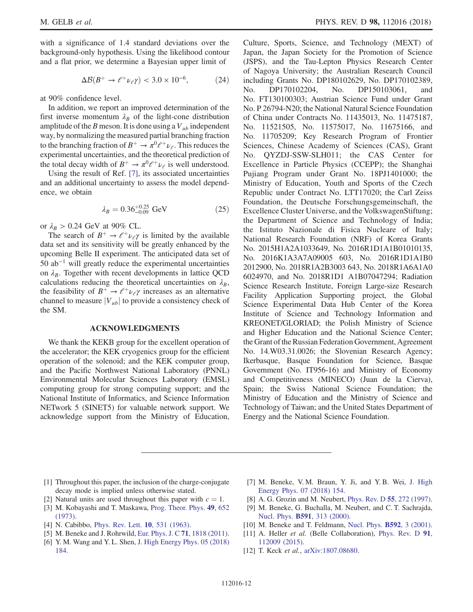with a significance of 1.4 standard deviations over the background-only hypothesis. Using the likelihood contour and a flat prior, we determine a Bayesian upper limit of

$$
\Delta \mathcal{B}(B^+ \to \ell^+ \nu_\ell \gamma) < 3.0 \times 10^{-6}, \tag{24}
$$

at 90% confidence level.

In addition, we report an improved determination of the first inverse momentum  $\lambda_B$  of the light-cone distribution amplitude of the B meson. It is done using a  $V_{ub}$  independent way, by normalizing the measured partial branching fraction to the branching fraction of  $B^+ \to \pi^0 \ell^+ \nu_\ell$ . This reduces the experimental uncertainties, and the theoretical prediction of the total decay width of  $B^+ \to \pi^0 \ell^+ \nu_\ell$  is well understood.

Using the result of Ref. [\[7\],](#page-11-8) its associated uncertainties and an additional uncertainty to assess the model dependence, we obtain

$$
\lambda_B = 0.36^{+0.25}_{-0.09} \text{ GeV} \tag{25}
$$

or  $\lambda_B > 0.24$  GeV at 90% CL.

The search of  $B^+ \rightarrow e^+ \nu_e \gamma$  is limited by the available data set and its sensitivity will be greatly enhanced by the upcoming Belle II experiment. The anticipated data set of  $50$  ab<sup>-1</sup> will greatly reduce the experimental uncertainties on  $\lambda_B$ . Together with recent developments in lattice QCD calculations reducing the theoretical uncertainties on  $\lambda_B$ , the feasibility of  $B^+ \rightarrow e^+ \nu_e \gamma$  increases as an alternative channel to measure  $|V_{ub}|$  to provide a consistency check of the SM.

### ACKNOWLEDGMENTS

We thank the KEKB group for the excellent operation of the accelerator; the KEK cryogenics group for the efficient operation of the solenoid; and the KEK computer group, and the Pacific Northwest National Laboratory (PNNL) Environmental Molecular Sciences Laboratory (EMSL) computing group for strong computing support; and the National Institute of Informatics, and Science Information NETwork 5 (SINET5) for valuable network support. We acknowledge support from the Ministry of Education, Culture, Sports, Science, and Technology (MEXT) of Japan, the Japan Society for the Promotion of Science (JSPS), and the Tau-Lepton Physics Research Center of Nagoya University; the Australian Research Council including Grants No. DP180102629, No. DP170102389, No. DP170102204, No. DP150103061, and No. FT130100303; Austrian Science Fund under Grant No. P 26794-N20; the National Natural Science Foundation of China under Contracts No. 11435013, No. 11475187, No. 11521505, No. 11575017, No. 11675166, and No. 11705209; Key Research Program of Frontier Sciences, Chinese Academy of Sciences (CAS), Grant No. QYZDJ-SSW-SLH011; the CAS Center for Excellence in Particle Physics (CCEPP); the Shanghai Pujiang Program under Grant No. 18PJ1401000; the Ministry of Education, Youth and Sports of the Czech Republic under Contract No. LTT17020; the Carl Zeiss Foundation, the Deutsche Forschungsgemeinschaft, the Excellence Cluster Universe, and the VolkswagenStiftung; the Department of Science and Technology of India; the Istituto Nazionale di Fisica Nucleare of Italy; National Research Foundation (NRF) of Korea Grants No. 2015H1A2A1033649, No. 2016R1D1A1B01010135, No. 2016K1A3A7A09005 603, No. 2016R1D1A1B0 2012900, No. 2018R1A2B3003 643, No. 2018R1A6A1A0 6024970, and No. 2018R1D1 A1B07047294; Radiation Science Research Institute, Foreign Large-size Research Facility Application Supporting project, the Global Science Experimental Data Hub Center of the Korea Institute of Science and Technology Information and KREONET/GLORIAD; the Polish Ministry of Science and Higher Education and the National Science Center; the Grant of the Russian Federation Government, Agreement No. 14.W03.31.0026; the Slovenian Research Agency; Ikerbasque, Basque Foundation for Science, Basque Government (No. IT956-16) and Ministry of Economy and Competitiveness (MINECO) (Juan de la Cierva), Spain; the Swiss National Science Foundation; the Ministry of Education and the Ministry of Science and Technology of Taiwan; and the United States Department of Energy and the National Science Foundation.

- <span id="page-11-0"></span>[1] Throughout this paper, the inclusion of the charge-conjugate decay mode is implied unless otherwise stated.
- <span id="page-11-1"></span>[2] Natural units are used throughout this paper with  $c = 1$ .
- <span id="page-11-2"></span>[3] M. Kobayashi and T. Maskawa, [Prog. Theor. Phys.](https://doi.org/10.1143/PTP.49.652) 49, 652 [\(1973\).](https://doi.org/10.1143/PTP.49.652)
- [4] N. Cabibbo, [Phys. Rev. Lett.](https://doi.org/10.1103/PhysRevLett.10.531) 10, 531 (1963).
- <span id="page-11-3"></span>[5] M. Beneke and J. Rohrwild, [Eur. Phys. J. C](https://doi.org/10.1140/epjc/s10052-011-1818-8) 71, 1818 (2011).
- <span id="page-11-4"></span>[6] Y. M. Wang and Y. L. Shen, [J. High Energy Phys. 05 \(2018\)](https://doi.org/10.1007/JHEP05(2018)184) [184.](https://doi.org/10.1007/JHEP05(2018)184)
- <span id="page-11-8"></span>[7] M. Beneke, V. M. Braun, Y. Ji, and Y. B. Wei, [J. High](https://doi.org/10.1007/JHEP07(2018)154) [Energy Phys. 07 \(2018\) 154.](https://doi.org/10.1007/JHEP07(2018)154)
- <span id="page-11-5"></span>[8] A. G. Grozin and M. Neubert, [Phys. Rev. D](https://doi.org/10.1103/PhysRevD.55.272) **55**, 272 (1997).
- [9] M. Beneke, G. Buchalla, M. Neubert, and C. T. Sachrajda, Nucl. Phys. B591[, 313 \(2000\).](https://doi.org/10.1016/S0550-3213(00)00559-9)
- [10] M. Beneke and T. Feldmann, [Nucl. Phys.](https://doi.org/10.1016/S0550-3213(00)00585-X) **B592**, 3 (2001).
- <span id="page-11-6"></span>[11] A. Heller et al. (Belle Collaboration), [Phys. Rev. D](https://doi.org/10.1103/PhysRevD.91.112009) 91, [112009 \(2015\).](https://doi.org/10.1103/PhysRevD.91.112009)
- <span id="page-11-7"></span>[12] T. Keck et al., [arXiv:1807.08680.](http://arXiv.org/abs/1807.08680)